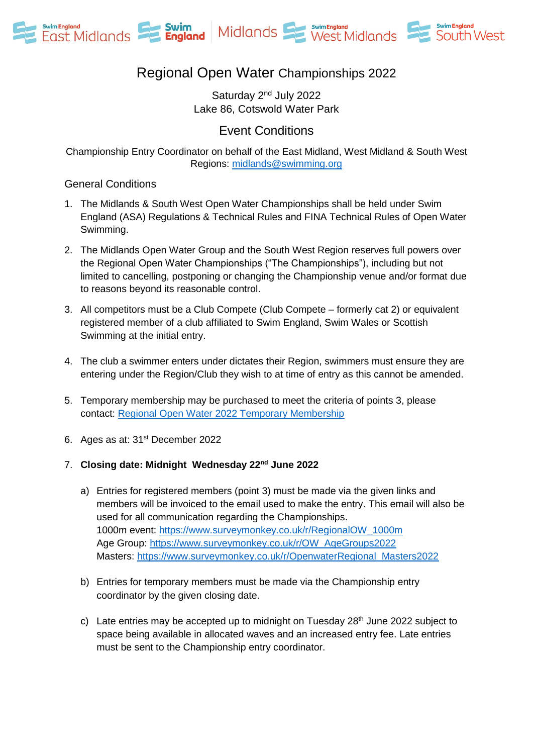



# Regional Open Water Championships 2022

Saturday 2nd July 2022 Lake 86, Cotswold Water Park

Event Conditions

Championship Entry Coordinator on behalf of the East Midland, West Midland & South West Regions: [midlands@swimming.org](mailto:midlands@swimming.org) 

#### General Conditions

- 1. The Midlands & South West Open Water Championships shall be held under Swim England (ASA) Regulations & Technical Rules and FINA Technical Rules of Open Water Swimming.
- 2. The Midlands Open Water Group and the South West Region reserves full powers over the Regional Open Water Championships ("The Championships"), including but not limited to cancelling, postponing or changing the Championship venue and/or format due to reasons beyond its reasonable control.
- 3. All competitors must be a Club Compete (Club Compete formerly cat 2) or equivalent registered member of a club affiliated to Swim England, Swim Wales or Scottish Swimming at the initial entry.
- 4. The club a swimmer enters under dictates their Region, swimmers must ensure they are entering under the Region/Club they wish to at time of entry as this cannot be amended.
- 5. Temporary membership may be purchased to meet the criteria of points 3, please contact: [Regional Open Water 2022 Temporary Membership](mailto:fiona.conway@swimming.org?subject=Regional%20Open%20Water%202022%20Temporary%20Membership%20)
- 6. Ages as at: 31st December 2022

#### 7. **Closing date: Midnight Wednesday 22nd June 2022**

- a) Entries for registered members (point 3) must be made via the given links and members will be invoiced to the email used to make the entry. This email will also be used for all communication regarding the Championships. 1000m event: [https://www.surveymonkey.co.uk/r/RegionalOW\\_1000m](https://www.surveymonkey.co.uk/r/RegionalOW_1000m) Age Group: [https://www.surveymonkey.co.uk/r/OW\\_AgeGroups2022](https://www.surveymonkey.co.uk/r/OW_AgeGroups2022) Masters: [https://www.surveymonkey.co.uk/r/OpenwaterRegional\\_Masters2022](https://www.surveymonkey.co.uk/r/OpenwaterRegional_Masters2022)
- b) Entries for temporary members must be made via the Championship entry coordinator by the given closing date.
- c) Late entries may be accepted up to midnight on Tuesday  $28<sup>th</sup>$  June 2022 subject to space being available in allocated waves and an increased entry fee. Late entries must be sent to the Championship entry coordinator.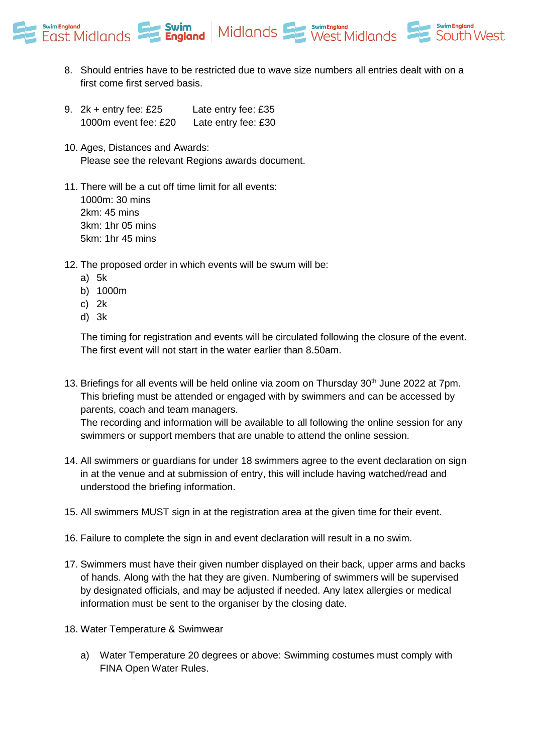



South West

- 9. 2k + entry fee: £25 Late entry fee: £35 1000m event fee: £20 Late entry fee: £30
- 10. Ages, Distances and Awards: Please see the relevant Regions awards document.
- 11. There will be a cut off time limit for all events: 1000m: 30 mins 2km: 45 mins 3km: 1hr 05 mins 5km: 1hr 45 mins
- 12. The proposed order in which events will be swum will be:
	- a) 5k
	- b) 1000m
	- c) 2k
	- d) 3k

The timing for registration and events will be circulated following the closure of the event. The first event will not start in the water earlier than 8.50am.

13. Briefings for all events will be held online via zoom on Thursday 30<sup>th</sup> June 2022 at 7pm. This briefing must be attended or engaged with by swimmers and can be accessed by parents, coach and team managers.

The recording and information will be available to all following the online session for any swimmers or support members that are unable to attend the online session.

- 14. All swimmers or guardians for under 18 swimmers agree to the event declaration on sign in at the venue and at submission of entry, this will include having watched/read and understood the briefing information.
- 15. All swimmers MUST sign in at the registration area at the given time for their event.
- 16. Failure to complete the sign in and event declaration will result in a no swim.
- 17. Swimmers must have their given number displayed on their back, upper arms and backs of hands. Along with the hat they are given. Numbering of swimmers will be supervised by designated officials, and may be adjusted if needed. Any latex allergies or medical information must be sent to the organiser by the closing date.
- 18. Water Temperature & Swimwear
	- a) Water Temperature 20 degrees or above: Swimming costumes must comply with FINA Open Water Rules.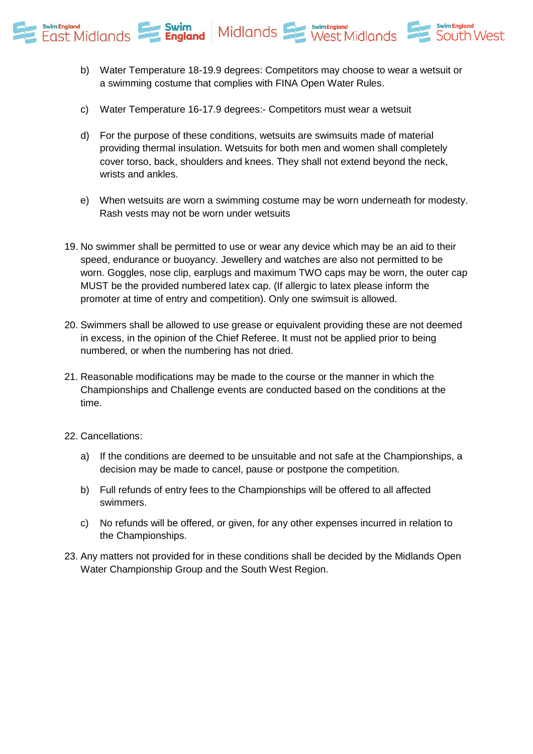

- b) Water Temperature 18-19.9 degrees: Competitors may choose to wear a wetsuit or a swimming costume that complies with FINA Open Water Rules.
- c) Water Temperature 16-17.9 degrees:- Competitors must wear a wetsuit
- d) For the purpose of these conditions, wetsuits are swimsuits made of material providing thermal insulation. Wetsuits for both men and women shall completely cover torso, back, shoulders and knees. They shall not extend beyond the neck, wrists and ankles.
- e) When wetsuits are worn a swimming costume may be worn underneath for modesty. Rash vests may not be worn under wetsuits
- 19. No swimmer shall be permitted to use or wear any device which may be an aid to their speed, endurance or buoyancy. Jewellery and watches are also not permitted to be worn. Goggles, nose clip, earplugs and maximum TWO caps may be worn, the outer cap MUST be the provided numbered latex cap. (If allergic to latex please inform the promoter at time of entry and competition). Only one swimsuit is allowed.
- 20. Swimmers shall be allowed to use grease or equivalent providing these are not deemed in excess, in the opinion of the Chief Referee. It must not be applied prior to being numbered, or when the numbering has not dried.
- 21. Reasonable modifications may be made to the course or the manner in which the Championships and Challenge events are conducted based on the conditions at the time.
- 22. Cancellations:
	- a) If the conditions are deemed to be unsuitable and not safe at the Championships, a decision may be made to cancel, pause or postpone the competition.
	- b) Full refunds of entry fees to the Championships will be offered to all affected swimmers.
	- c) No refunds will be offered, or given, for any other expenses incurred in relation to the Championships.
- 23. Any matters not provided for in these conditions shall be decided by the Midlands Open Water Championship Group and the South West Region.